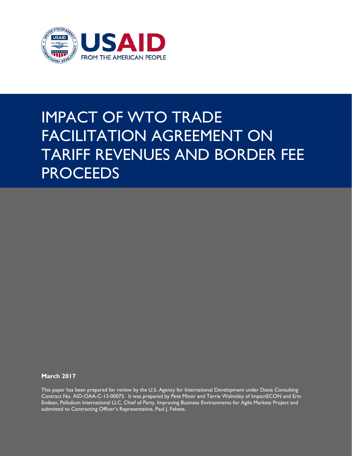

# IMPACT OF WTO TRADE FACILITATION AGREEMENT ON TARIFF REVENUES AND BORDER FEE **PROCEEDS**

**March 2017**

This paper has been prepared for review by the U.S. Agency for International Development under Dexis Consulting Contract No. AID-OAA-C-13-00075. It was prepared by Pete Minor and Terrie Walmsley of ImpactECON and Erin Endean, Palladium International LLC, Chief of Party, Improving Business Environments for Agile Markets Project and submitted to Contracting Officer's Representative, Paul J. Fekete.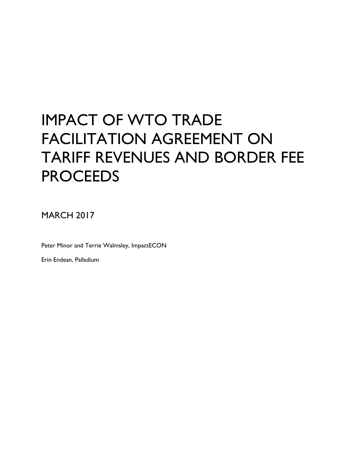# IMPACT OF WTO TRADE FACILITATION AGREEMENT ON TARIFF REVENUES AND BORDER FEE **PROCEEDS**

MARCH 2017

Peter Minor and Terrie Walmsley, ImpactECON

Erin Endean, Palladium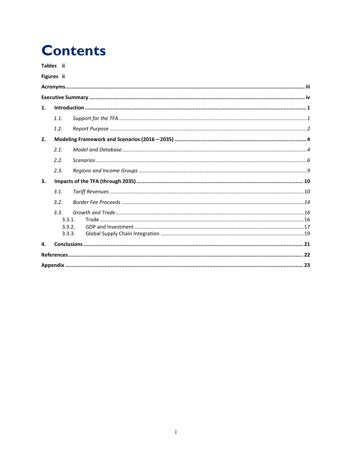## **Contents**

Tables ii

### Figures ii

| 1. |        |  |  |
|----|--------|--|--|
|    | 1.1.   |  |  |
|    | 1.2.   |  |  |
| 2. |        |  |  |
|    | 2.1.   |  |  |
|    | 2.2.   |  |  |
|    | 2.3.   |  |  |
| 3. |        |  |  |
|    | 3.1.   |  |  |
|    | 3.2.   |  |  |
|    | 3.3.   |  |  |
|    | 3.3.1. |  |  |
|    | 3.3.2. |  |  |
|    | 3.3.3. |  |  |
| 4. |        |  |  |
|    |        |  |  |
|    |        |  |  |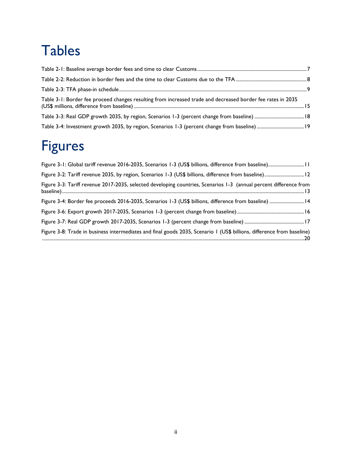# <span id="page-4-0"></span>Tables

| Table 3-1: Border fee proceed changes resulting from increased trade and decreased border fee rates in 2035 |  |
|-------------------------------------------------------------------------------------------------------------|--|
|                                                                                                             |  |
|                                                                                                             |  |

# <span id="page-4-1"></span>Figures

| Figure 3-1: Global tariff revenue 2016-2035, Scenarios 1-3 (US\$ billions, difference from baseline) 11                |
|------------------------------------------------------------------------------------------------------------------------|
| Figure 3-2: Tariff revenue 2035, by region, Scenarios 1-3 (US\$ billions, difference from baseline) 12                 |
| Figure 3-3: Tariff revenue 2017-2035, selected developing countries, Scenarios 1-3 (annual percent difference from     |
| Figure 3-4: Border fee proceeds 2016-2035, Scenarios 1-3 (US\$ billions, difference from baseline)  14                 |
|                                                                                                                        |
|                                                                                                                        |
| Figure 3-8: Trade in business intermediates and final goods 2035, Scenario 1 (US\$ billions, difference from baseline) |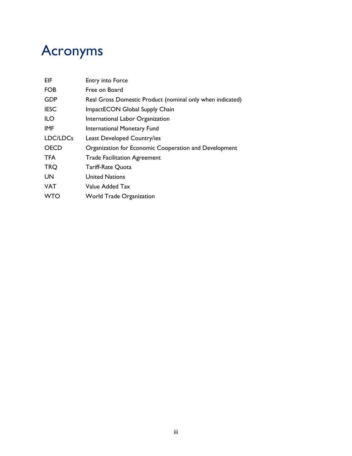# <span id="page-5-0"></span>Acronyms

| <b>EIF</b>  | Entry into Force                                          |
|-------------|-----------------------------------------------------------|
| <b>FOB</b>  | Free on Board                                             |
| <b>GDP</b>  | Real Gross Domestic Product (nominal only when indicated) |
| <b>IESC</b> | ImpactECON Global Supply Chain                            |
| ILO         | International Labor Organization                          |
| <b>IMF</b>  | International Monetary Fund                               |
| LDC/LDCs    | Least Developed Country/ies                               |
| <b>OECD</b> | Organization for Economic Cooperation and Development     |
| <b>TFA</b>  | <b>Trade Facilitation Agreement</b>                       |
| <b>TRQ</b>  | <b>Tariff-Rate Quota</b>                                  |
| <b>UN</b>   | <b>United Nations</b>                                     |
| <b>VAT</b>  | Value Added Tax                                           |
| <b>WTO</b>  | <b>World Trade Organization</b>                           |
|             |                                                           |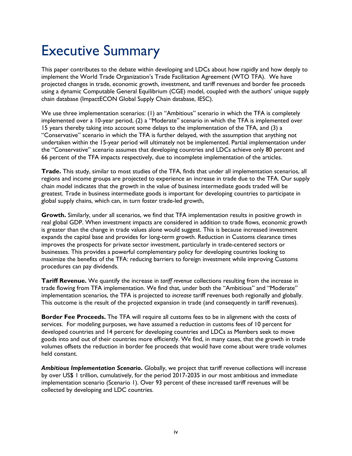# <span id="page-6-0"></span>Executive Summary

This paper contributes to the debate within developing and LDCs about how rapidly and how deeply to implement the World Trade Organization's Trade Facilitation Agreement (WTO TFA). We have projected changes in trade, economic growth, investment, and tariff revenues and border fee proceeds using a dynamic Computable General Equilibrium (CGE) model, coupled with the authors' unique supply chain database (ImpactECON Global Supply Chain database, IESC).

We use three implementation scenarios: (1) an "Ambitious" scenario in which the TFA is completely implemented over a 10-year period, (2) a "Moderate" scenario in which the TFA is implemented over 15 years thereby taking into account some delays to the implementation of the TFA, and (3) a "Conservative" scenario in which the TFA is further delayed, with the assumption that anything not undertaken within the 15-year period will ultimately not be implemented. Partial implementation under the "Conservative" scenario assumes that developing countries and LDCs achieve only 80 percent and 66 percent of the TFA impacts respectively, due to incomplete implementation of the articles.

**Trade.** This study, similar to most studies of the TFA, finds that under all implementation scenarios, all regions and income groups are projected to experience an increase in trade due to the TFA. Our supply chain model indicates that the growth in the value of business intermediate goods traded will be greatest. Trade in business intermediate goods is important for developing countries to participate in global supply chains, which can, in turn foster trade-led growth,

**Growth.** Similarly, under all scenarios, we find that TFA implementation results in positive growth in real global GDP. When investment impacts are considered in addition to trade flows, economic growth is greater than the change in trade values alone would suggest. This is because increased investment expands the capital base and provides for long-term growth. Reduction in Customs clearance times improves the prospects for private sector investment, particularly in trade-centered sectors or businesses. This provides a powerful complementary policy for developing countries looking to maximize the benefits of the TFA: reducing barriers to foreign investment while improving Customs procedures can pay dividends.

**Tariff Revenue.** We quantify the increase in *tariff revenue* collections resulting from the increase in trade flowing from TFA implementation. We find that, under both the "Ambitious" and "Moderate" implementation scenarios, the TFA is projected to *increase* tariff revenues both regionally and globally. This outcome is the result of the projected expansion in trade (and consequently in tariff revenues).

**Border Fee Proceeds.** The TFA will require all customs fees to be in alignment with the costs of services. For modeling purposes, we have assumed a reduction in customs fees of 10 percent for developed countries and 14 percent for developing countries and LDCs as Members seek to move goods into and out of their countries more efficiently. We find, in many cases, that the growth in trade volumes offsets the reduction in border fee proceeds that would have come about were trade volumes held constant.

*Ambitious Implementation Scenario***.** Globally, we project that tariff revenue collections will increase by over US\$ 1 trillion, cumulatively, for the period 2017-2035 in our most ambitious and immediate implementation scenario (Scenario 1). Over 93 percent of these increased tariff revenues will be collected by developing and LDC countries.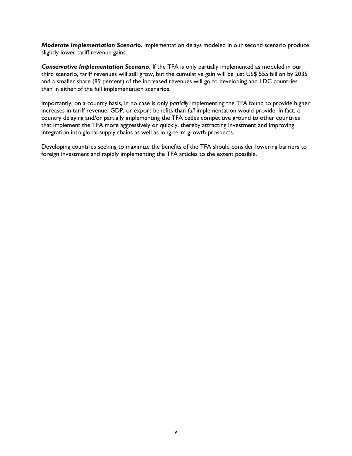*Moderate Implementation Scenario***.** Implementation delays modeled in our second scenario produce slightly lower tariff revenue gains.

*Conservative Implementation Scenario***.** If the TFA is only partially implemented as modeled in our third scenario, tariff revenues will still grow, but the cumulative gain will be just US\$ 555 billion by 2035 and a smaller share (89 percent) of the increased revenues will go to developing and LDC countries than in either of the full implementation scenarios.

Importantly, on a country basis, in no case is only *partially* implementing the TFA found to provide higher increases in tariff revenue, GDP, or export benefits than *full* implementation would provide. In fact, a country delaying and/or partially implementing the TFA cedes competitive ground to other countries that implement the TFA more aggressively or quickly, thereby attracting investment and improving integration into global supply chains as well as long-term growth prospects.

Developing countries seeking to maximize the benefits of the TFA should consider lowering barriers to foreign investment and rapidly implementing the TFA articles to the extent possible.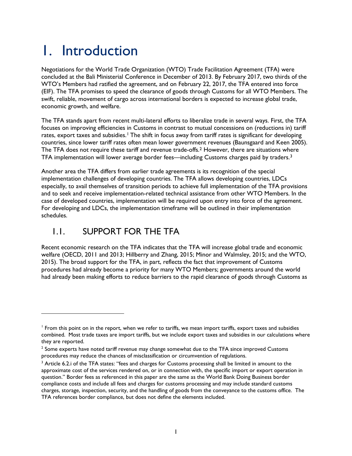# <span id="page-8-0"></span>1. Introduction

Negotiations for the World Trade Organization (WTO) Trade Facilitation Agreement (TFA) were concluded at the Bali Ministerial Conference in December of 2013. By February 2017, two thirds of the WTO's Members had ratified the agreement, and on February 22, 2017, the TFA entered into force (EIF). The TFA promises to speed the clearance of goods through Customs for all WTO Members. The swift, reliable, movement of cargo across international borders is expected to increase global trade, economic growth, and welfare.

The TFA stands apart from recent multi-lateral efforts to liberalize trade in several ways. First, the TFA focuses on improving efficiencies in Customs in contrast to mutual concessions on (reductions in) tariff rates, export taxes and subsidies.<sup>[1](#page-8-2)</sup> The shift in focus away from tariff rates is significant for developing countries, since lower tariff rates often mean lower government revenues (Baunsgaard and Keen 2005). The TFA does not require these tariff and revenue trade-offs.<sup>2</sup> However, there are situations where TFA implementation will lower average border fees—including Customs charges paid by traders.<sup>[3](#page-8-4)</sup>

Another area the TFA differs from earlier trade agreements is its recognition of the special implementation challenges of developing countries. The TFA allows developing countries, LDCs especially, to avail themselves of transition periods to achieve full implementation of the TFA provisions and to seek and receive implementation-related technical assistance from other WTO Members. In the case of developed countries, implementation will be required upon entry into force of the agreement. For developing and LDCs, the implementation timeframe will be outlined in their implementation schedules.

## <span id="page-8-1"></span>1.1. SUPPORT FOR THE TFA

 $\overline{a}$ 

Recent economic research on the TFA indicates that the TFA will increase global trade and economic welfare (OECD, 2011 and 2013; Hillberry and Zhang, 2015; Minor and Walmsley, 2015; and the WTO, 2015). The broad support for the TFA, in part, reflects the fact that improvement of Customs procedures had already become a priority for many WTO Members; governments around the world had already been making efforts to reduce barriers to the rapid clearance of goods through Customs as

<span id="page-8-2"></span><sup>&</sup>lt;sup>1</sup> From this point on in the report, when we refer to tariffs, we mean import tariffs, export taxes and subsidies combined. Most trade taxes are import tariffs, but we include export taxes and subsidies in our calculations where they are reported.

<span id="page-8-3"></span> $2$  Some experts have noted tariff revenue may change somewhat due to the TFA since improved Customs procedures may reduce the chances of misclassification or circumvention of regulations.

<span id="page-8-4"></span><sup>&</sup>lt;sup>3</sup> Article 6.2.i of the TFA states: "fees and charges for Customs processing shall be limited in amount to the approximate cost of the services rendered on, or in connection with, the specific import or export operation in question." Border fees as referenced in this paper are the same as the World Bank Doing Business border compliance costs and include all fees and charges for customs processing and may include standard customs charges, storage, inspection, security, and the handling of goods from the conveyance to the customs office. The TFA references border compliance, but does not define the elements included.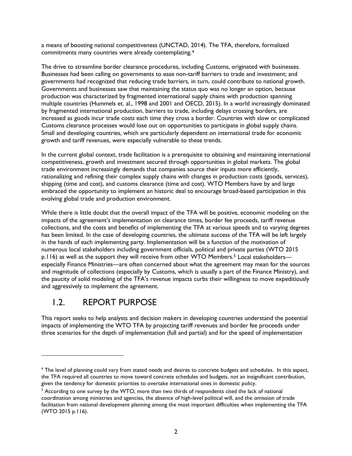a means of boosting national competitiveness (UNCTAD, 2014). The TFA, therefore, formalized commitments many countries were already contemplating.[4](#page-9-1)

The drive to streamline border clearance procedures, including Customs, originated with businesses. Businesses had been calling on governments to ease non-tariff barriers to trade and investment; and governments had recognized that reducing trade barriers, in turn, could contribute to national growth. Governments and businesses saw that maintaining the status quo was no longer an option, because production was characterized by fragmented international supply chains with production spanning multiple countries (Hummels et. al., 1998 and 2001 and OECD, 2015). In a world increasingly dominated by fragmented international production, barriers to trade, including delays crossing borders, are increased as goods incur trade costs each time they cross a border. Countries with slow or complicated Customs clearance processes would lose out on opportunities to participate in global supply chains. Small and developing countries, which are particularly dependent on international trade for economic growth and tariff revenues, were especially vulnerable to these trends.

In the current global context, trade facilitation is a prerequisite to obtaining and maintaining international competitiveness, growth and investment secured through opportunities in global markets. The global trade environment increasingly demands that companies source their inputs more efficiently, rationalizing and refining their complex supply chains with changes in production costs (goods, services), shipping (time and cost), and customs clearance (time and cost). WTO Members have by and large embraced the opportunity to implement an historic deal to encourage broad-based participation in this evolving global trade and production environment.

While there is little doubt that the overall impact of the TFA will be positive, economic modeling on the impacts of the agreement's implementation on clearance times, border fee proceeds, tariff revenue collections, and the costs and benefits of implementing the TFA at various speeds and to varying degrees has been limited. In the case of developing countries, the ultimate success of the TFA will be left largely in the hands of each implementing party. Implementation will be a function of the motivation of numerous local stakeholders including government officials, political and private parties (WTO 2015 p.116) as well as the support they will receive from other WTO Members.<sup>[5](#page-9-2)</sup> Local stakeholders especially Finance Ministries—are often concerned about what the agreement may mean for the sources and magnitude of collections (especially by Customs, which is usually a part of the Finance Ministry), and the paucity of solid modeling of the TFA's revenue impacts curbs their willingness to move expeditiously and aggressively to implement the agreement.

## <span id="page-9-0"></span>1.2. REPORT PURPOSE

 $\overline{a}$ 

This report seeks to help analysts and decision makers in developing countries understand the potential impacts of implementing the WTO TFA by projecting tariff revenues and border fee proceeds under three scenarios for the depth of implementation (full and partial) and for the speed of implementation

<span id="page-9-1"></span><sup>4</sup> The level of planning could vary from stated needs and desires to concrete budgets and schedules. In this aspect, the TFA required all countries to move toward concrete schedules and budgets, not an insignificant contribution, given the tendency for domestic priorities to overtake international ones in domestic policy.

<span id="page-9-2"></span><sup>&</sup>lt;sup>5</sup> According to one survey by the WTO, more than two thirds of respondents cited the lack of national coordination among ministries and agencies, the absence of high-level political will, and the omission of trade facilitation from national development planning among the most important difficulties when implementing the TFA (WTO 2015 p.116).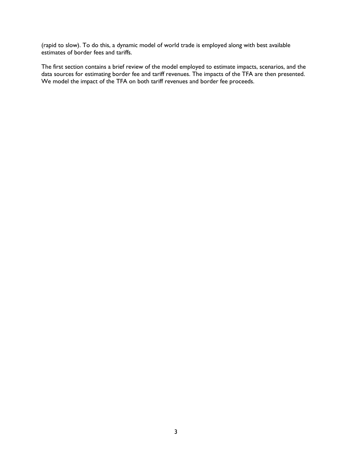(rapid to slow). To do this, a dynamic model of world trade is employed along with best available estimates of border fees and tariffs.

The first section contains a brief review of the model employed to estimate impacts, scenarios, and the data sources for estimating border fee and tariff revenues. The impacts of the TFA are then presented. We model the impact of the TFA on both tariff revenues and border fee proceeds.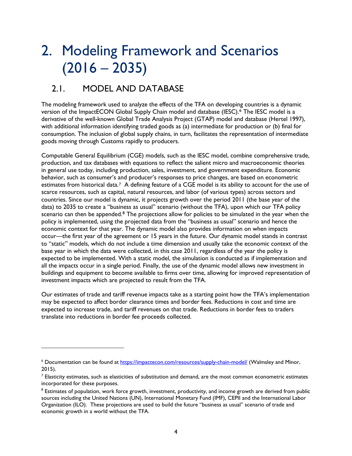# <span id="page-11-0"></span>2. Modeling Framework and Scenarios  $(2016 - 2035)$

## <span id="page-11-1"></span>2.1. MODEL AND DATABASE

 $\overline{a}$ 

The modeling framework used to analyze the effects of the TFA on developing countries is a dynamic version of the ImpactECON Global Supply Chain model and database (IESC).[6](#page-11-2) The IESC model is a derivative of the well-known Global Trade Analysis Project (GTAP) model and database (Hertel 1997), with additional information identifying traded goods as (a) intermediate for production or (b) final for consumption. The inclusion of global supply chains, in turn, facilitates the representation of intermediate goods moving through Customs rapidly to producers.

Computable General Equilibrium (CGE) models, such as the IESC model, combine comprehensive trade, production, and tax databases with equations to reflect the salient micro and macroeconomic theories in general use today, including production, sales, investment, and government expenditure. Economic behavior, such as consumer's and producer's responses to price changes, are based on econometric estimates from historical data.<sup>[7](#page-11-3)</sup> A defining feature of a CGE model is its ability to account for the use of scarce resources, such as capital, natural resources, and labor (of various types) across sectors and countries. Since our model is dynamic, it projects growth over the period 2011 (the base year of the data) to 2035 to create a "business as usual" scenario (without the TFA), upon which our TFA policy scenario can then be appended.<sup>[8](#page-11-4)</sup> The projections allow for policies to be simulated in the year when the policy is implemented, using the projected data from the "business as usual" scenario and hence the economic context for that year. The dynamic model also provides information on when impacts occur—the first year of the agreement or 15 years in the future. Our dynamic model stands in contrast to "static" models, which do not include a time dimension and usually take the economic context of the base year in which the data were collected, in this case 2011, regardless of the year the policy is expected to be implemented. With a static model, the simulation is conducted as if implementation and all the impacts occur in a single period. Finally, the use of the dynamic model allows new investment in buildings and equipment to become available to firms over time, allowing for improved representation of investment impacts which are projected to result from the TFA.

Our estimates of trade and tariff revenue impacts take as a starting point how the TFA's implementation may be expected to affect border clearance times and border fees. Reductions in cost and time are expected to increase trade, and tariff revenues on that trade. Reductions in border fees to traders translate into reductions in border fee proceeds collected.

<span id="page-11-2"></span><sup>6</sup> Documentation can be found at<https://impactecon.com/resources/supply-chain-model/> (Walmsley and Minor, 2015).

<span id="page-11-3"></span> $<sup>7</sup>$  Elasticity estimates, such as elasticities of substitution and demand, are the most common econometric estimates</sup> incorporated for these purposes.

<span id="page-11-4"></span><sup>&</sup>lt;sup>8</sup> Estimates of population, work force growth, investment, productivity, and income growth are derived from public sources including the United Nations (UN), International Monetary Fund (IMF), CEPII and the International Labor Organization (ILO). These projections are used to build the future "business as usual" scenario of trade and economic growth in a world without the TFA.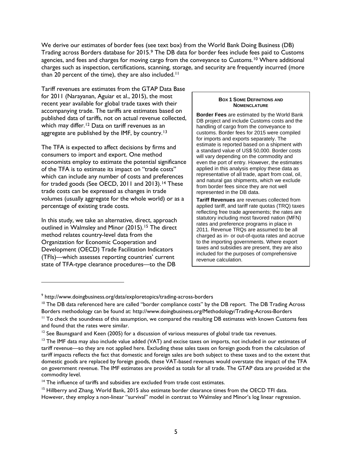We derive our estimates of border fees (see text box) from the World Bank Doing Business (DB) Trading across Borders database for 2015.[9](#page-12-0) The DB data for border fees include fees paid to Customs agencies, and fees and charges for moving cargo from the conveyance to Customs.<sup>[10](#page-12-1)</sup> Where additional charges such as inspection, certifications, scanning, storage, and security are frequently incurred (more than 20 percent of the time), they are also included.<sup>11</sup>

Tariff revenues are estimates from the GTAP Data Base for 2011 (Narayanan, Aguiar et al., 2015), the most recent year available for global trade taxes with their accompanying trade. The tariffs are estimates based on published data of tariffs, not on actual revenue collected, which may differ.<sup>[12](#page-12-3)</sup> Data on tariff revenues as an aggregate are published by the IMF, by country.<sup>[13](#page-12-4)</sup>

The TFA is expected to affect decisions by firms and consumers to import and export. One method economists employ to estimate the potential significance of the TFA is to estimate its impact on "trade costs" which can include any number of costs and preferences for traded goods (See OECD, 2011 and 2013).<sup>[14](#page-12-5)</sup> These trade costs can be expressed as changes in trade volumes (usually aggregate for the whole world) or as a percentage of existing trade costs.

In this study, we take an alternative, direct, approach outlined in Walmsley and Minor (20[15](#page-12-6)).<sup>15</sup> The direct method relates country-level data from the Organization for Economic Cooperation and Development (OECD) Trade Facilitation Indicators (TFIs)—which assesses reporting countries' current state of TFA-type clearance procedures—to the DB

 $\overline{a}$ 

#### **BOX 1 SOME DEFINITIONS AND NOMENCLATURE**

**Border Fees** are estimated by the World Bank DB project and include Customs costs and the handling of cargo from the conveyance to customs. Border fees for 2015 were compiled for imports and exports separately. The estimate is reported based on a shipment with a standard value of US\$ 50,000. Border costs will vary depending on the commodity and even the port of entry. However, the estimates applied in this analysis employ these data as representative of all trade, apart from coal, oil, and natural gas shipments, which we exclude from border fees since they are not well represented in the DB data.

**Tariff Revenues** are revenues collected from applied tariff, and tariff rate quotas (TRQ) taxes reflecting free trade agreements; the rates are statutory including most favored nation (MFN) rates and preference programs in place in 2011. Revenue TRQs are assumed to be all charged as in- or out-of-quota rates and accrue to the importing governments. Where export taxes and subsidies are present, they are also included for the purposes of comprehensive revenue calculation.

<span id="page-12-0"></span><sup>9</sup> http://www.doingbusiness.org/data/exploretopics/trading-across-borders

<span id="page-12-1"></span><sup>&</sup>lt;sup>10</sup> The DB data referenced here are called "border compliance costs" by the DB report. The DB Trading Across Borders methodology can be found at: http://www.doingbusiness.org/Methodology/Trading-Across-Borders

<span id="page-12-2"></span><sup>&</sup>lt;sup>11</sup> To check the soundness of this assumption, we compared the resulting DB estimates with known Customs fees and found that the rates were similar.

<span id="page-12-3"></span> $12$  See Baunsgaard and Keen (2005) for a discussion of various measures of global trade tax revenues.

<span id="page-12-4"></span> $13$  The IMF data may also include value added (VAT) and excise taxes on imports, not included in our estimates of tariff revenue—so they are not applied here. Excluding these sales taxes on foreign goods from the calculation of tariff impacts reflects the fact that domestic and foreign sales are both subject to these taxes and to the extent that domestic goods are replaced by foreign goods, these VAT-based revenues would overstate the impact of the TFA on government revenue. The IMF estimates are provided as totals for all trade. The GTAP data are provided at the commodity level.

<span id="page-12-5"></span><sup>&</sup>lt;sup>14</sup> The influence of tariffs and subsidies are excluded from trade cost estimates.

<span id="page-12-6"></span><sup>&</sup>lt;sup>15</sup> Hillberry and Zhang, World Bank, 2015 also estimate border clearance times from the OECD TFI data. However, they employ a non-linear "survival" model in contrast to Walmsley and Minor's log linear regression.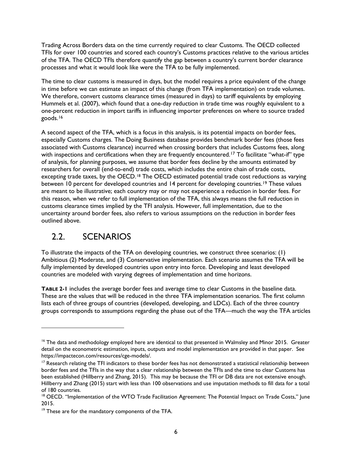Trading Across Borders data on the time currently required to clear Customs. The OECD collected TFIs for over 100 countries and scored each country's Customs practices relative to the various articles of the TFA. The OECD TFIs therefore quantify the gap between a country's current border clearance processes and what it would look like were the TFA to be fully implemented.

The time to clear customs is measured in days, but the model requires a price equivalent of the change in time before we can estimate an impact of this change (from TFA implementation) on trade volumes. We therefore, convert customs clearance times (measured in days) to tariff equivalents by employing Hummels et al. (2007), which found that a one-day reduction in trade time was roughly equivalent to a one-percent reduction in import tariffs in influencing importer preferences on where to source traded goods.[16](#page-13-1)

A second aspect of the TFA, which is a focus in this analysis, is its potential impacts on border fees, especially Customs charges. The Doing Business database provides benchmark border fees (those fees associated with Customs clearance) incurred when crossing borders that includes Customs fees, along with inspections and certifications when they are frequently encountered.<sup>[17](#page-13-2)</sup> To facilitate "what-if" type of analysis, for planning purposes, we assume that border fees decline by the amounts estimated by researchers for overall (end-to-end) trade costs, which includes the entire chain of trade costs, excepting trade taxes, by the OECD.<sup>[18](#page-13-3)</sup> The OECD estimated potential trade cost reductions as varying between 10 percent for developed countries and 14 percent for developing countries.<sup>[19](#page-13-4)</sup> These values are meant to be illustrative; each country may or may not experience a reduction in border fees. For this reason, when we refer to full implementation of the TFA, this always means the full reduction in customs clearance times implied by the TFI analysis. However, full implementation, due to the uncertainty around border fees, also refers to various assumptions on the reduction in border fees outlined above.

## <span id="page-13-0"></span>2.2. SCENARIOS

 $\ddot{\phantom{a}}$ 

To illustrate the impacts of the TFA on developing countries, we construct three scenarios: (1) Ambitious (2) Moderate, and (3) Conservative implementation. Each scenario assumes the TFA will be fully implemented by developed countries upon entry into force. Developing and least developed countries are modeled with varying degrees of implementation and time horizons.

**[TABLE 2-1](#page-14-0)** includes the average border fees and average time to clear Customs in the baseline data. These are the values that will be reduced in the three TFA implementation scenarios. The first column lists each of three groups of countries (developed, developing, and LDCs). Each of the three country groups corresponds to assumptions regarding the phase out of the TFA—much the way the TFA articles

<span id="page-13-1"></span><sup>&</sup>lt;sup>16</sup> The data and methodology employed here are identical to that presented in Walmsley and Minor 2015. Greater detail on the econometric estimation, inputs, outputs and model implementation are provided in that paper. See https://impactecon.com/resources/cge-models/.

<span id="page-13-2"></span> $17$  Research relating the TFI indicators to these border fees has not demonstrated a statistical relationship between border fees and the TFIs in the way that a clear relationship between the TFIs and the time to clear Customs has been established (Hillberry and Zhang, 2015). This may be because the TFI or DB data are not extensive enough. Hillberry and Zhang (2015) start with less than 100 observations and use imputation methods to fill data for a total of 180 countries.

<span id="page-13-3"></span><sup>&</sup>lt;sup>18</sup> OECD. "Implementation of the WTO Trade Facilitation Agreement: The Potential Impact on Trade Costs," June 2015.

<span id="page-13-4"></span><sup>&</sup>lt;sup>19</sup> These are for the mandatory components of the TFA.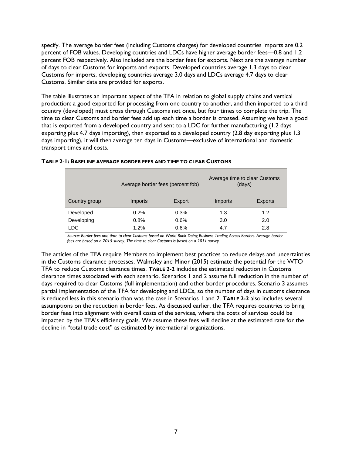specify. The average border fees (including Customs charges) for developed countries imports are 0.2 percent of FOB values. Developing countries and LDCs have higher average border fees—0.8 and 1.2 percent FOB respectively. Also included are the border fees for exports. Next are the average number of days to clear Customs for imports and exports. Developed countries average 1.3 days to clear Customs for imports, developing countries average 3.0 days and LDCs average 4.7 days to clear Customs. Similar data are provided for exports.

The table illustrates an important aspect of the TFA in relation to global supply chains and vertical production: a good exported for processing from one country to another, and then imported to a third country (developed) must cross through Customs not once, but four times to complete the trip. The time to clear Customs and border fees add up each time a border is crossed. Assuming we have a good that is exported from a developed country and sent to a LDC for further manufacturing (1.2 days exporting plus 4.7 days importing), then exported to a developed country (2.8 day exporting plus 1.3 days importing), it will then average ten days in Customs—exclusive of international and domestic transport times and costs.

|               | Average border fees (percent fob) |        | Average time to clear Customs<br>(days) |                |  |
|---------------|-----------------------------------|--------|-----------------------------------------|----------------|--|
| Country group | Imports                           | Export | Imports                                 | <b>Exports</b> |  |
| Developed     | 0.2%                              | 0.3%   | 1.3                                     | 1.2            |  |
| Developing    | 0.8%                              | 0.6%   | 3.0                                     | 2.0            |  |
| LDC           | 1.2%                              | 0.6%   | 4.7                                     | 2.8            |  |

#### <span id="page-14-0"></span>**TABLE 2-1: BASELINE AVERAGE BORDER FEES AND TIME TO CLEAR CUSTOMS**

*Source: Border fees and time to clear Customs based on World Bank Doing Business Trading Across Borders. Average border fees are based on a 2015 survey. The time to clear Customs is based on a 2011 survey.*

The articles of the TFA require Members to implement best practices to reduce delays and uncertainties in the Customs clearance processes. Walmsley and Minor (2015) estimate the potential for the WTO TFA to reduce Customs clearance times. **[TABLE 2-2](#page-15-0)** includes the estimated reduction in Customs clearance times associated with each scenario. Scenarios 1 and 2 assume full reduction in the number of days required to clear Customs (full implementation) and other border procedures. Scenario 3 assumes partial implementation of the TFA for developing and LDCs, so the number of days in customs clearance is reduced less in this scenario than was the case in Scenarios 1 and 2. **[TABLE 2-2](#page-15-0)** also includes several assumptions on the reduction in border fees. As discussed earlier, the TFA requires countries to bring border fees into alignment with overall costs of the services, where the costs of services could be impacted by the TFA's efficiency goals. We assume these fees will decline at the estimated rate for the decline in "total trade cost" as estimated by international organizations.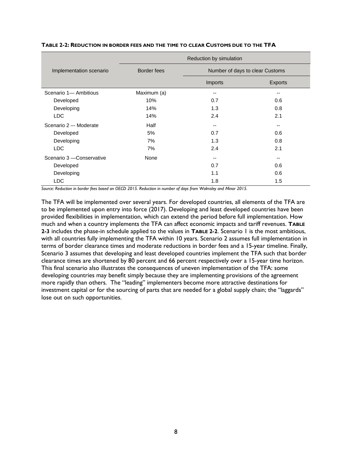|                           | Reduction by simulation |                                 |                |  |  |
|---------------------------|-------------------------|---------------------------------|----------------|--|--|
| Implementation scenario   | <b>Border fees</b>      | Number of days to clear Customs |                |  |  |
|                           |                         | Imports                         | <b>Exports</b> |  |  |
| Scenario 1- Ambitious     | Maximum (a)             | --                              | --             |  |  |
| Developed                 | 10%                     | 0.7                             | 0.6            |  |  |
| Developing                | 14%                     | 1.3                             | 0.8            |  |  |
| <b>LDC</b>                | 14%                     | 2.4                             | 2.1            |  |  |
| Scenario 2 -- Moderate    | Half                    | $- -$                           | $- -$          |  |  |
| Developed                 | 5%                      | 0.7                             | 0.6            |  |  |
| Developing                | 7%                      | 1.3                             | 0.8            |  |  |
| <b>LDC</b>                | 7%                      | 2.4                             | 2.1            |  |  |
| Scenario 3 - Conservative | None                    | --                              | $- -$          |  |  |
| Developed                 |                         | 0.7                             | 0.6            |  |  |
| Developing                |                         | 1.1                             | 0.6            |  |  |
| LDC                       |                         | 1.8                             | 1.5            |  |  |

#### <span id="page-15-0"></span>**TABLE 2-2: REDUCTION IN BORDER FEES AND THE TIME TO CLEAR CUSTOMS DUE TO THE TFA**

*Source: Reduction in border fees based on OECD 2015. Reduction in number of days from Walmsley and Minor 2015.* 

The TFA will be implemented over several years. For developed countries, all elements of the TFA are to be implemented upon entry into force (2017). Developing and least developed countries have been provided flexibilities in implementation, which can extend the period before full implementation. How much and when a country implements the TFA can affect economic impacts and tariff revenues. **[TABLE](#page-16-1)  [2-3](#page-16-1)** includes the phase-in schedule applied to the values in **[TABLE 2-2](#page-15-0)**. Scenario 1 is the most ambitious, with all countries fully implementing the TFA within 10 years. Scenario 2 assumes full implementation in terms of border clearance times and moderate reductions in border fees and a 15-year timeline. Finally, Scenario 3 assumes that developing and least developed countries implement the TFA such that border clearance times are shortened by 80 percent and 66 percent respectively over a 15-year time horizon. This final scenario also illustrates the consequences of uneven implementation of the TFA: some developing countries may benefit simply because they are implementing provisions of the agreement more rapidly than others. The "leading" implementers become more attractive destinations for investment capital or for the sourcing of parts that are needed for a global supply chain; the "laggards" lose out on such opportunities.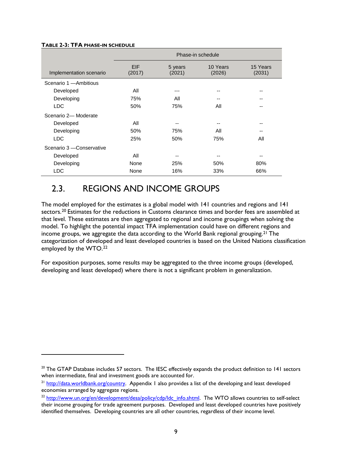#### <span id="page-16-1"></span>**TABLE 2-3: TFA PHASE-IN SCHEDULE**

 $\overline{a}$ 

|                           | Phase-in schedule    |                   |                    |                    |  |  |
|---------------------------|----------------------|-------------------|--------------------|--------------------|--|--|
| Implementation scenario   | <b>EIF</b><br>(2017) | 5 years<br>(2021) | 10 Years<br>(2026) | 15 Years<br>(2031) |  |  |
| Scenario 1 - Ambitious    |                      |                   |                    |                    |  |  |
| Developed                 | All                  | ---               | --                 | --                 |  |  |
| Developing                | 75%                  | All               |                    | --                 |  |  |
| <b>LDC</b>                | 50%                  | 75%               | All                | --                 |  |  |
| Scenario 2- Moderate      |                      |                   |                    |                    |  |  |
| Developed                 | All                  | --                | --                 | --                 |  |  |
| Developing                | 50%                  | 75%               | All                | --                 |  |  |
| <b>LDC</b>                | 25%                  | 50%               | 75%                | All                |  |  |
| Scenario 3 - Conservative |                      |                   |                    |                    |  |  |
| Developed                 | All                  | --                | --                 | --                 |  |  |
| Developing                | None                 | 25%               | 50%                | 80%                |  |  |
| <b>LDC</b>                | None                 | 16%               | 33%                | 66%                |  |  |

## <span id="page-16-0"></span>2.3. REGIONS AND INCOME GROUPS

The model employed for the estimates is a global model with 141 countries and regions and 141 sectors.<sup>[20](#page-16-2)</sup> Estimates for the reductions in Customs clearance times and border fees are assembled at that level. These estimates are then aggregated to regional and income groupings when solving the model. To highlight the potential impact TFA implementation could have on different regions and income groups, we aggregate the data according to the World Bank regional grouping.<sup>[21](#page-16-3)</sup> The categorization of developed and least developed countries is based on the United Nations classification employed by the WTO[.22](#page-16-4)

For exposition purposes, some results may be aggregated to the three income groups (developed, developing and least developed) where there is not a significant problem in generalization.

<span id="page-16-2"></span><sup>&</sup>lt;sup>20</sup> The GTAP Database includes 57 sectors. The IESC effectively expands the product definition to 141 sectors when intermediate, final and investment goods are accounted for.

<span id="page-16-3"></span><sup>&</sup>lt;sup>21</sup> [http://data.worldbank.org/country.](http://data.worldbank.org/country) Appendix I also provides a list of the developing and least developed economies arranged by aggregate regions.

<span id="page-16-4"></span><sup>&</sup>lt;sup>22</sup> [http://www.un.org/en/development/desa/policy/cdp/ldc\\_info.shtml.](http://www.un.org/en/development/desa/policy/cdp/ldc_info.shtml) The WTO allows countries to self-select their income grouping for trade agreement purposes. Developed and least developed countries have positively identified themselves. Developing countries are all other countries, regardless of their income level.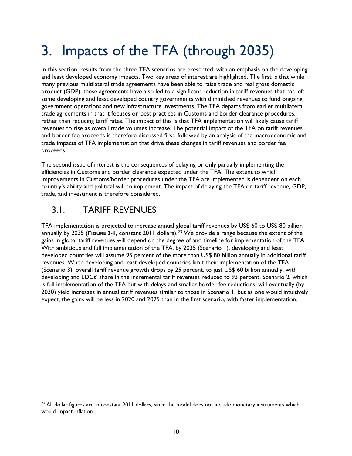# <span id="page-17-0"></span>3. Impacts of the TFA (through 2035)

In this section, results from the three TFA scenarios are presented; with an emphasis on the developing and least developed economy impacts. Two key areas of interest are highlighted. The first is that while many previous multilateral trade agreements have been able to raise trade and real gross domestic product (GDP), these agreements have also led to a significant reduction in tariff revenues that has left some developing and least developed country governments with diminished revenues to fund ongoing government operations and new infrastructure investments. The TFA departs from earlier multilateral trade agreements in that it focuses on best practices in Customs and border clearance procedures, rather than reducing tariff rates. The impact of this is that TFA implementation will likely cause tariff revenues to rise as overall trade volumes increase. The potential impact of the TFA on tariff revenues and border fee proceeds is therefore discussed first, followed by an analysis of the macroeconomic and trade impacts of TFA implementation that drive these changes in tariff revenues and border fee proceeds.

The second issue of interest is the consequences of delaying or only partially implementing the efficiencies in Customs and border clearance expected under the TFA. The extent to which improvements in Customs/border procedures under the TFA are implemented is dependent on each country's ability and political will to implement. The impact of delaying the TFA on tariff revenue, GDP, trade, and investment is therefore considered.

## <span id="page-17-1"></span>3.1. TARIFF REVENUES

 $\overline{a}$ 

TFA implementation is projected to increase annual global tariff revenues by US\$ 60 to US\$ 80 billion annually by 2035 (**[FIGURE 3-1](#page-18-0)**, constant 2011 dollars)[.23](#page-17-2) We provide a range because the extent of the gains in global tariff revenues will depend on the degree of and timeline for implementation of the TFA. With ambitious and full implementation of the TFA, by 2035 (Scenario 1), developing and least developed countries will assume 95 percent of the more than US\$ 80 billion annually in additional tariff revenues. When developing and least developed countries limit their implementation of the TFA (Scenario 3), overall tariff revenue growth drops by 25 percent, to just US\$ 60 billion annually, with developing and LDCs' share in the incremental tariff revenues reduced to 93 percent. Scenario 2, which is full implementation of the TFA but with delays and smaller border fee reductions, will eventually (by 2030) yield increases in annual tariff revenues similar to those in Scenario 1, but as one would intuitively expect, the gains will be less in 2020 and 2025 than in the first scenario, with faster implementation.

<span id="page-17-2"></span> $^{23}$  All dollar figures are in constant 2011 dollars, since the model does not include monetary instruments which would impact inflation.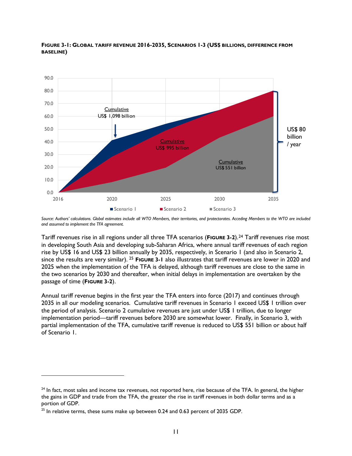

<span id="page-18-0"></span>**FIGURE 3-1: GLOBAL TARIFF REVENUE 2016-2035, SCENARIOS 1-3 (US\$ BILLIONS, DIFFERENCE FROM BASELINE)**

Tariff revenues rise in all regions under all three TFA scenarios (**[FIGURE 3-2](#page-19-0)**).[24](#page-18-1) Tariff revenues rise most in developing South Asia and developing sub-Saharan Africa, where annual tariff revenues of each region rise by US\$ 16 and US\$ 23 billion annually by 2035, respectively, in Scenario 1 (and also in Scenario 2, since the results are very similar). [25](#page-18-2) **[FIGURE 3-1](#page-18-0)** also illustrates that tariff revenues are lower in 2020 and 2025 when the implementation of the TFA is delayed, although tariff revenues are close to the same in the two scenarios by 2030 and thereafter, when initial delays in implementation are overtaken by the passage of time (**[FIGURE 3-2](#page-19-0)**).

Annual tariff revenue begins in the first year the TFA enters into force (2017) and continues through 2035 in all our modeling scenarios. Cumulative tariff revenues in Scenario 1 exceed US\$ 1 trillion over the period of analysis. Scenario 2 cumulative revenues are just under US\$ 1 trillion, due to longer implementation period—tariff revenues before 2030 are somewhat lower. Finally, in Scenario 3, with partial implementation of the TFA, cumulative tariff revenue is reduced to US\$ 551 billion or about half of Scenario 1.

 $\overline{a}$ 

*Source: Authors' calculations. Global estimates include all WTO Members, their territories, and protectorates. Acceding Members to the WTO are included and assumed to implement the TFA agreement.* 

<span id="page-18-1"></span> $24$  In fact, most sales and income tax revenues, not reported here, rise because of the TFA. In general, the higher the gains in GDP and trade from the TFA, the greater the rise in tariff revenues in both dollar terms and as a portion of GDP.

<span id="page-18-2"></span> $25$  In relative terms, these sums make up between 0.24 and 0.63 percent of 2035 GDP.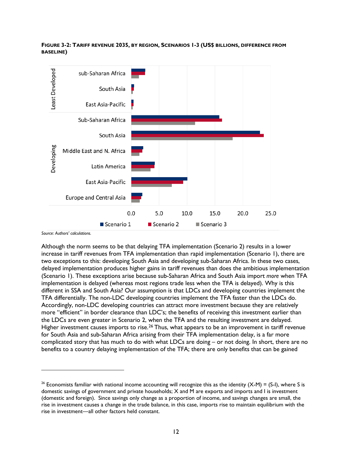<span id="page-19-0"></span>



*Source: Authors' calculations.*

 $\overline{a}$ 

Although the norm seems to be that delaying TFA implementation (Scenario 2) results in a lower increase in tariff revenues from TFA implementation than rapid implementation (Scenario 1), there are two exceptions to this: developing South Asia and developing sub-Saharan Africa. In these two cases, delayed implementation produces higher gains in tariff revenues than does the ambitious implementation (Scenario 1). These exceptions arise because sub-Saharan Africa and South Asia import *more* when TFA implementation is delayed (whereas most regions trade less when the TFA is delayed). Why is this different in SSA and South Asia? Our assumption is that LDCs and developing countries implement the TFA differentially. The non-LDC developing countries implement the TFA faster than the LDCs do. Accordingly, non-LDC developing countries can attract more investment because they are relatively more "efficient" in border clearance than LDC's; the benefits of receiving this investment earlier than the LDCs are even greater in Scenario 2, when the TFA and the resulting investment are delayed. Higher investment causes imports to rise.<sup>[26](#page-19-1)</sup> Thus, what appears to be an improvement in tariff revenue for South Asia and sub-Saharan Africa arising from their TFA implementation delay, is a far more complicated story that has much to do with what LDCs are doing – or not doing. In short, there are no benefits to a country delaying implementation of the TFA; there are only benefits that can be gained

<span id="page-19-1"></span><sup>&</sup>lt;sup>26</sup> Economists familiar with national income accounting will recognize this as the identity  $(X-M) = (S-I)$ , where S is domestic savings of government and private households; X and M are exports and imports and I is investment (domestic and foreign). Since savings only change as a proportion of income, and savings changes are small, the rise in investment causes a change in the trade balance, in this case, imports rise to maintain equilibrium with the rise in investment—all other factors held constant.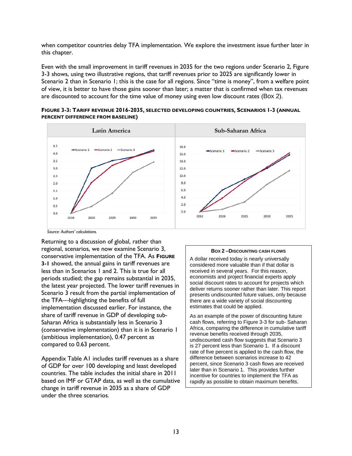when competitor countries delay TFA implementation. We explore the investment issue further later in this chapter.

Even with the small improvement in tariff revenues in 2035 for the two regions under Scenario 2, [Figure](#page-20-0)  [3-3](#page-20-0) shows, using two illustrative regions, that tariff revenues prior to 2025 are significantly lower in Scenario 2 than in Scenario 1; this is the case for all regions. Since "time is money", from a welfare point of view, it is better to have those gains sooner than later; a matter that is confirmed when tax revenues are discounted to account for the time value of money using even low discount rates ([Box 2](#page-20-1)).

<span id="page-20-0"></span>**FIGURE 3-3: TARIFF REVENUE 2016-2035, SELECTED DEVELOPING COUNTRIES, SCENARIOS 1-3 (ANNUAL PERCENT DIFFERENCE FROM BASELINE)**



*Source: Authors' calculations.*

Returning to a discussion of global, rather than regional, scenarios, we now examine Scenario 3, conservative implementation of the TFA. As **[FIGURE](#page-18-0)  [3-1](#page-18-0)** showed, the annual gains in tariff revenues are less than in Scenarios 1 and 2. This is true for all periods studied; the gap remains substantial in 2035, the latest year projected. The lower tariff revenues in Scenario 3 result from the partial implementation of the TFA—highlighting the benefits of full implementation discussed earlier. For instance, the share of tariff revenue in GDP of developing sub-Saharan Africa is substantially less in Scenario 3 (conservative implementation) than it is in Scenario 1 (ambitious implementation), 0.47 percent as compared to 0.63 percent.

Appendix Table A1 includes tariff revenues as a share of GDP for over 100 developing and least developed countries. The table includes the initial share in 2011 based on IMF or GTAP data, as well as the cumulative change in tariff revenue in 2035 as a share of GDP under the three scenarios.

#### **BOX 2 –DISCOUNTING CASH FLOWS**

<span id="page-20-1"></span>A dollar received today is nearly universally considered more valuable than if that dollar is received in several years. For this reason, economists and project financial experts apply social discount rates to account for projects which deliver returns sooner rather than later. This report presents undiscounted future values, only because there are a wide variety of social discounting estimates that could be applied.

As an example of the power of discounting future cash flows, referring t[o Figure 3-3](#page-20-0) for sub- Saharan Africa, comparing the difference in cumulative tariff revenue benefits received through 2035, undiscounted cash flow suggests that Scenario 3 is 27 percent less than Scenario 1. If a discount rate of five percent is applied to the cash flow, the difference between scenarios increase to 42 percent, since Scenario 3 cash flows are received later than in Scenario 1. This provides further incentive for countries to implement the TFA as rapidly as possible to obtain maximum benefits.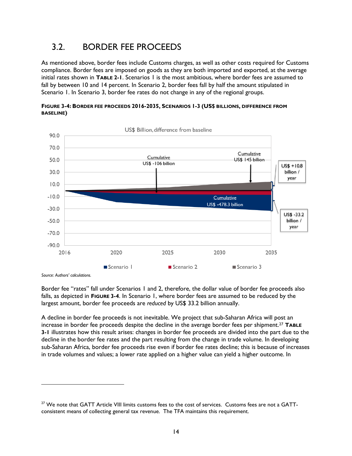## <span id="page-21-0"></span>3.2. BORDER FEE PROCEEDS

As mentioned above, border fees include Customs charges, as well as other costs required for Customs compliance. Border fees are imposed on goods as they are both imported and exported, at the average initial rates shown in **[TABLE 2-1](#page-14-0)**. Scenarios 1 is the most ambitious, where border fees are assumed to fall by between 10 and 14 percent. In Scenario 2, border fees fall by half the amount stipulated in Scenario 1. In Scenario 3, border fee rates do not change in any of the regional groups.

<span id="page-21-1"></span>



*Source: Authors' calculations.*

 $\overline{a}$ 

Border fee "rates" fall under Scenarios 1 and 2, therefore, the dollar value of border fee proceeds also falls, as depicted in **[FIGURE 3-4](#page-21-1)**. In Scenario 1, where border fees are assumed to be reduced by the largest amount, border fee proceeds are *reduced* by US\$ 33.2 billion annually.

A decline in border fee proceeds is not inevitable. We project that sub-Saharan Africa will post an increase in border fee proceeds despite the decline in the average border fees per shipment.[27](#page-21-2) **[TABLE](#page-22-0)  [3-1](#page-22-0)** illustrates how this result arises: changes in border fee proceeds are divided into the part due to the decline in the border fee rates and the part resulting from the change in trade volume. In developing sub-Saharan Africa, border fee proceeds rise even if border fee rates decline; this is because of increases in trade volumes and values; a lower rate applied on a higher value can yield a higher outcome. In

<span id="page-21-2"></span><sup>&</sup>lt;sup>27</sup> We note that GATT Article VIII limits customs fees to the cost of services. Customs fees are not a GATTconsistent means of collecting general tax revenue. The TFA maintains this requirement.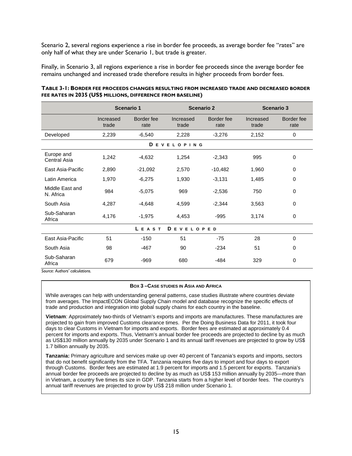Scenario 2, several regions experience a rise in border fee proceeds, as average border fee "rates" are only half of what they are under Scenario 1, but trade is greater.

Finally, in Scenario 3, all regions experience a rise in border fee proceeds since the average border fee remains unchanged and increased trade therefore results in higher proceeds from border fees.

|                              |                    | <b>Scenario 1</b>  | <b>Scenario 2</b>  |                    | <b>Scenario 3</b>  |                    |
|------------------------------|--------------------|--------------------|--------------------|--------------------|--------------------|--------------------|
|                              | Increased<br>trade | Border fee<br>rate | Increased<br>trade | Border fee<br>rate | Increased<br>trade | Border fee<br>rate |
| Developed                    | 2,239              | $-6,540$           | 2,228              | $-3,276$           | 2,152              | 0                  |
|                              |                    | D<br>E             | <b>VELOPING</b>    |                    |                    |                    |
| Europe and<br>Central Asia   | 1,242              | $-4,632$           | 1,254              | $-2,343$           | 995                | 0                  |
| East Asia-Pacific            | 2,890              | $-21,092$          | 2,570              | $-10,482$          | 1,960              | 0                  |
| Latin America                | 1,970              | $-6,275$           | 1,930              | $-3,131$           | 1,485              | 0                  |
| Middle East and<br>N. Africa | 984                | $-5,075$           | 969                | $-2,536$           | 750                | 0                  |
| South Asia                   | 4,287              | $-4,648$           | 4,599              | $-2,344$           | 3,563              | 0                  |
| Sub-Saharan<br>Africa        | 4,176              | $-1,975$           | 4,453              | $-995$             | 3,174              | $\mathbf 0$        |
|                              | DEVELOPED<br>LEAST |                    |                    |                    |                    |                    |
| East Asia-Pacific            | 51                 | $-150$             | 51                 | $-75$              | 28                 | $\Omega$           |
| South Asia                   | 98                 | $-467$             | 90                 | $-234$             | 51                 | 0                  |
| Sub-Saharan<br>Africa        | 679                | $-969$             | 680                | $-484$             | 329                | 0                  |

#### <span id="page-22-0"></span>**TABLE 3-1: BORDER FEE PROCEEDS CHANGES RESULTING FROM INCREASED TRADE AND DECREASED BORDER FEE RATES IN 2035 (US\$ MILLIONS, DIFFERENCE FROM BASELINE)**

*Source: Authors' calculations.*

#### **BOX 3 –CASE STUDIES IN ASIA AND AFRICA**

While averages can help with understanding general patterns, case studies illustrate where countries deviate from averages. The ImpactECON Global Supply Chain model and database recognize the specific effects of trade and production and integration into global supply chains for each country in the baseline.

**Vietnam**: Approximately two-thirds of Vietnam's exports and imports are manufactures. These manufactures are projected to gain from improved Customs clearance times. Per the Doing Business Data for 2011, it took four days to clear Customs in Vietnam for imports and exports. Border fees are estimated at approximately 0.4 percent for imports and exports. Thus, Vietnam's annual border fee proceeds are projected to decline by as much as US\$130 million annually by 2035 under Scenario 1 and its annual tariff revenues are projected to grow by US\$ 1.7 billion annually by 2035.

**Tanzania:** Primary agriculture and services make up over 40 percent of Tanzania's exports and imports, sectors that do not benefit significantly from the TFA. Tanzania requires five days to import and four days to export through Customs. Border fees are estimated at 1.9 percent for imports and 1.5 percent for exports. Tanzania's annual border fee proceeds are projected to decline by as much as US\$ 153 million annually by 2035—more than in Vietnam, a country five times its size in GDP. Tanzania starts from a higher level of border fees. The country's annual tariff revenues are projected to grow by US\$ 218 million under Scenario 1.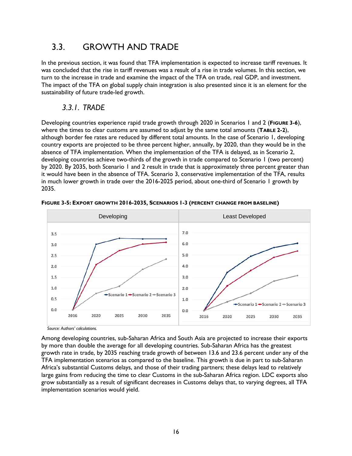## <span id="page-23-0"></span>3.3. GROWTH AND TRADE

In the previous section, it was found that TFA implementation is expected to increase tariff revenues. It was concluded that the rise in tariff revenues was a result of a rise in trade volumes. In this section, we turn to the increase in trade and examine the impact of the TFA on trade, real GDP, and investment. The impact of the TFA on global supply chain integration is also presented since it is an element for the sustainability of future trade-led growth.

## *3.3.1. TRADE*

<span id="page-23-1"></span>Developing countries experience rapid trade growth through 2020 in Scenarios 1 and 2 (**[FIGURE 3-6](#page-23-2)**), where the times to clear customs are assumed to adjust by the same total amounts (**[TABLE 2-2](#page-15-0)**), although border fee rates are reduced by different total amounts. In the case of Scenario 1, developing country exports are projected to be three percent higher, annually, by 2020, than they would be in the absence of TFA implementation. When the implementation of the TFA is delayed, as in Scenario 2, developing countries achieve two-thirds of the growth in trade compared to Scenario 1 (two percent) by 2020. By 2035, both Scenario 1 and 2 result in trade that is approximately three percent greater than it would have been in the absence of TFA. Scenario 3, conservative implementation of the TFA, results in much lower growth in trade over the 2016-2025 period, about one-third of Scenario 1 growth by 2035.



<span id="page-23-2"></span>**FIGURE 3-5: EXPORT GROWTH 2016-2035, SCENARIOS 1-3 (PERCENT CHANGE FROM BASELINE)**

*Source: Authors' calculations.*

Among developing countries, sub-Saharan Africa and South Asia are projected to increase their exports by more than double the average for all developing countries. Sub-Saharan Africa has the greatest growth rate in trade, by 2035 reaching trade growth of between 13.6 and 23.6 percent under any of the TFA implementation scenarios as compared to the baseline. This growth is due in part to sub-Saharan Africa's substantial Customs delays, and those of their trading partners; these delays lead to relatively large gains from reducing the time to clear Customs in the sub-Saharan Africa region. LDC exports also grow substantially as a result of significant decreases in Customs delays that, to varying degrees, all TFA implementation scenarios would yield.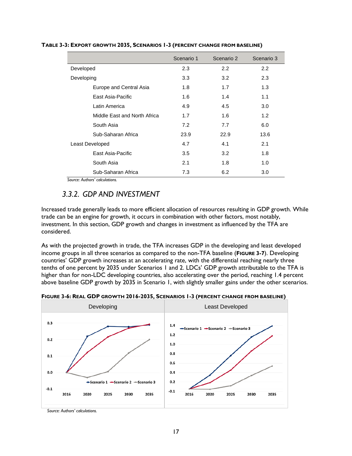|                              | Scenario 1 | Scenario 2 | Scenario 3 |
|------------------------------|------------|------------|------------|
| Developed                    | 2.3        | 2.2        | 2.2        |
| Developing                   | 3.3        | 3.2        | 2.3        |
| Europe and Central Asia      | 1.8        | 1.7        | 1.3        |
| East Asia-Pacific            | 1.6        | 1.4        | 1.1        |
| Latin America                | 4.9        | 4.5        | 3.0        |
| Middle East and North Africa | 1.7        | 1.6        | 1.2        |
| South Asia                   | 7.2        | 7.7        | 6.0        |
| Sub-Saharan Africa           | 23.9       | 22.9       | 13.6       |
| Least Developed              | 4.7        | 4.1        | 2.1        |
| East Asia-Pacific            | 3.5        | 3.2        | 1.8        |
| South Asia                   | 2.1        | 1.8        | 1.0        |
| Sub-Saharan Africa           | 7.3        | 6.2        | 3.0        |

### **TABLE 3-3: EXPORT GROWTH 2035, SCENARIOS 1-3 (PERCENT CHANGE FROM BASELINE)**

*Source: Authors' calculations.*

## <span id="page-24-0"></span>*3.3.2. GDP AND INVESTMENT*

Increased trade generally leads to more efficient allocation of resources resulting in GDP growth. While trade can be an engine for growth, it occurs in combination with other factors, most notably, investment. In this section, GDP growth and changes in investment as influenced by the TFA are considered.

As with the projected growth in trade, the TFA increases GDP in the developing and least developed income groups in all three scenarios as compared to the non-TFA baseline (**[FIGURE 3-7](#page-24-1)**). Developing countries' GDP growth increases at an accelerating rate, with the differential reaching nearly three tenths of one percent by 2035 under Scenarios 1 and 2. LDCs' GDP growth attributable to the TFA is higher than for non-LDC developing countries, also accelerating over the period, reaching 1.4 percent above baseline GDP growth by 2035 in Scenario 1, with slightly smaller gains under the other scenarios.



<span id="page-24-1"></span>**FIGURE 3-6: REAL GDP GROWTH 2016-2035, SCENARIOS 1-3 (PERCENT CHANGE FROM BASELINE)**

*Source: Authors' calculations.*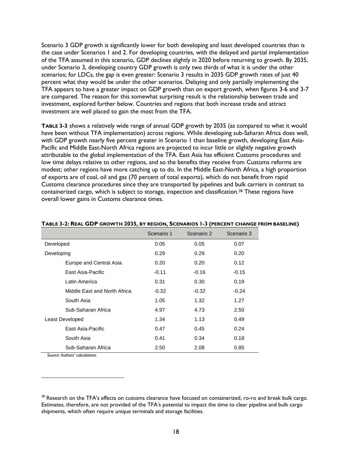Scenario 3 GDP growth is significantly lower for both developing and least developed countries than is the case under Scenarios 1 and 2. For developing countries, with the delayed and partial implementation of the TFA assumed in this scenario, GDP declines slightly in 2020 before returning to growth. By 2035, under Scenario 3, developing country GDP growth is only two thirds of what it is under the other scenarios; for LDCs, the gap is even greater: Scenario 3 results in 2035 GDP growth rates of just 40 percent what they would be under the other scenarios. Delaying and only partially implementing the TFA appears to have a greater impact on GDP growth than on export growth, when figures 3-6 and 3-7 are compared. The reason for this somewhat surprising result is the relationship between trade and investment, explored further below. Countries and regions that both increase trade and attract investment are well placed to gain the most from the TFA.

**[TABLE 3-3](#page-25-0)** shows a relatively wide range of annual GDP growth by 2035 (as compared to what it would have been without TFA implementation) across regions. While developing sub-Saharan Africa does well, with GDP growth nearly five percent greater in Scenario 1 than baseline growth, developing East Asia-Pacific and Middle East-North Africa regions are projected to incur little or slightly negative growth attributable to the global implementation of the TFA. East Asia has efficient Customs procedures and low time delays relative to other regions, and so the benefits they receive from Customs reforms are modest; other regions have more catching up to do. In the Middle East-North Africa, a high proportion of exports are of coal, oil and gas (70 percent of total exports), which do not benefit from rapid Customs clearance procedures since they are transported by pipelines and bulk carriers in contrast to containerized cargo, which is subject to storage, inspection and classification.[28](#page-25-1) These regions have overall lower gains in Customs clearance times.

|                              | Scenario 1 | Scenario 2 | Scenario 3 |
|------------------------------|------------|------------|------------|
| Developed                    | 0.05       | 0.05       | 0.07       |
| Developing                   | 0.29       | 0.29       | 0.20       |
| Europe and Central Asia      | 0.20       | 0.20       | 0.12       |
| East Asia-Pacific            | $-0.11$    | $-0.16$    | $-0.15$    |
| Latin America                | 0.31       | 0.30       | 0.19       |
| Middle East and North Africa | $-0.32$    | $-0.32$    | $-0.24$    |
| South Asia                   | 1.05       | 1.32       | 1.27       |
| Sub-Saharan Africa           | 4.97       | 4.73       | 2.50       |
| Least Developed              | 1.34       | 1.13       | 0.49       |
| East Asia-Pacific            | 0.47       | 0.45       | 0.24       |
| South Asia                   | 0.41       | 0.34       | 0.18       |
| Sub-Saharan Africa           | 2.50       | 2.08       | 0.85       |

#### <span id="page-25-0"></span>**TABLE 3-2: REAL GDP GROWTH 2035, BY REGION, SCENARIOS 1-3 (PERCENT CHANGE FROM BASELINE)**

*Source: Authors' calculations.*

 $\overline{a}$ 

<span id="page-25-1"></span><sup>&</sup>lt;sup>28</sup> Research on the TFA's effects on customs clearance have focused on containerized, ro-ro and break bulk cargo. Estimates, therefore, are not provided of the TFA's potential to impact the time to clear pipeline and bulk cargo shipments, which often require unique terminals and storage facilities.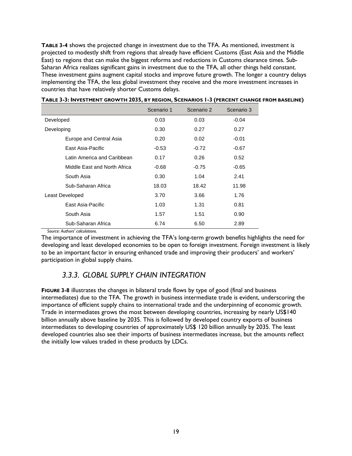**[TABLE 3-4](#page-26-1)** shows the projected change in investment due to the TFA. As mentioned, investment is projected to modestly shift from regions that already have efficient Customs (East Asia and the Middle East) to regions that can make the biggest reforms and reductions in Customs clearance times. Sub-Saharan Africa realizes significant gains in investment due to the TFA, all other things held constant. These investment gains augment capital stocks and improve future growth. The longer a country delays implementing the TFA, the less global investment they receive and the more investment increases in countries that have relatively shorter Customs delays.

|                              | Scenario 1 | Scenario 2 | Scenario 3 |
|------------------------------|------------|------------|------------|
| Developed                    | 0.03       | 0.03       | $-0.04$    |
| Developing                   | 0.30       | 0.27       | 0.27       |
| Europe and Central Asia      | 0.20       | 0.02       | $-0.01$    |
| East Asia-Pacific            | $-0.53$    | $-0.72$    | $-0.67$    |
| Latin America and Caribbean  | 0.17       | 0.26       | 0.52       |
| Middle East and North Africa | $-0.68$    | $-0.75$    | $-0.65$    |
| South Asia                   | 0.30       | 1.04       | 2.41       |
| Sub-Saharan Africa           | 18.03      | 18.42      | 11.98      |
| Least Developed              | 3.70       | 3.66       | 1.76       |
| East Asia-Pacific            | 1.03       | 1.31       | 0.81       |
| South Asia                   | 1.57       | 1.51       | 0.90       |
| Sub-Saharan Africa           | 6.74       | 6.50       | 2.89       |

#### <span id="page-26-1"></span>**TABLE 3-3: INVESTMENT GROWTH 2035, BY REGION, SCENARIOS 1-3 (PERCENT CHANGE FROM BASELINE)**

*Source: Authors' calculations.*

The importance of investment in achieving the TFA's long-term growth benefits highlights the need for developing and least developed economies to be open to foreign investment. Foreign investment is likely to be an important factor in ensuring enhanced trade and improving their producers' and workers' participation in global supply chains.

## <span id="page-26-0"></span>*3.3.3. GLOBAL SUPPLY CHAIN INTEGRATION*

<span id="page-26-2"></span>**[FIGURE 3-8](#page-26-2)** illustrates the changes in bilateral trade flows by type of good (final and business intermediates) due to the TFA. The growth in business intermediate trade is evident, underscoring the importance of efficient supply chains to international trade and the underpinning of economic growth. Trade in intermediates grows the most between developing countries, increasing by nearly US\$140 billion annually above baseline by 2035. This is followed by developed country exports of business intermediates to developing countries of approximately US\$ 120 billion annually by 2035. The least developed countries also see their imports of business intermediates increase, but the amounts reflect the initially low values traded in these products by LDCs.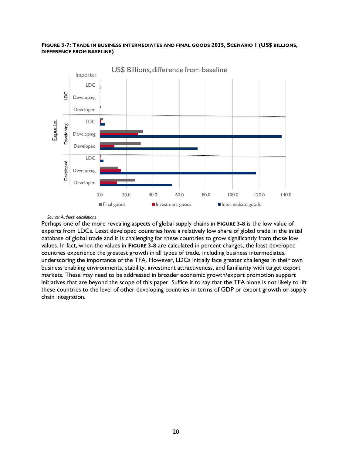### **FIGURE 3-7: TRADE IN BUSINESS INTERMEDIATES AND FINAL GOODS 2035, SCENARIO 1 (US\$ BILLIONS, DIFFERENCE FROM BASELINE)**



US\$ Billions, difference from baseline

#### *Source: Authors' calculations*

Perhaps one of the more revealing aspects of global supply chains in **[FIGURE 3-8](#page-26-2)** is the low value of exports from LDCs. Least developed countries have a relatively low share of global trade in the initial database of global trade and it is challenging for these countries to grow significantly from those low values. In fact, when the values in **[FIGURE 3-8](#page-26-2)** are calculated in percent changes, the least developed countries experience the greatest growth in all types of trade, including business intermediates, underscoring the importance of the TFA. However, LDCs initially face greater challenges in their own business enabling environments, stability, investment attractiveness, and familiarity with target export markets. These may need to be addressed in broader economic growth/export promotion support initiatives that are beyond the scope of this paper. Suffice it to say that the TFA alone is not likely to lift these countries to the level of other developing countries in terms of GDP or export growth or supply chain integration.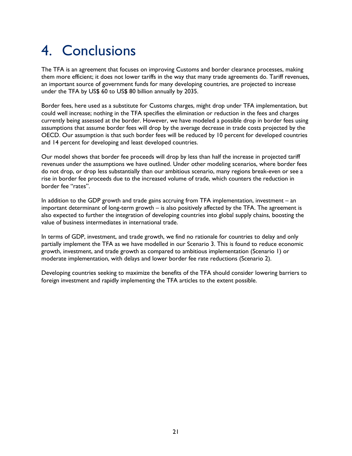# <span id="page-28-0"></span>4. Conclusions

The TFA is an agreement that focuses on improving Customs and border clearance processes, making them more efficient; it does not lower tariffs in the way that many trade agreements do. Tariff revenues, an important source of government funds for many developing countries, are projected to increase under the TFA by US\$ 60 to US\$ 80 billion annually by 2035.

Border fees, here used as a substitute for Customs charges, might drop under TFA implementation, but could well increase; nothing in the TFA specifies the elimination or reduction in the fees and charges currently being assessed at the border. However, we have modeled a possible drop in border fees using assumptions that assume border fees will drop by the average decrease in trade costs projected by the OECD. Our assumption is that such border fees will be reduced by 10 percent for developed countries and 14 percent for developing and least developed countries.

Our model shows that border fee proceeds will drop by less than half the increase in projected tariff revenues under the assumptions we have outlined. Under other modeling scenarios, where border fees do not drop, or drop less substantially than our ambitious scenario, many regions break-even or see a rise in border fee proceeds due to the increased volume of trade, which counters the reduction in border fee "rates".

In addition to the GDP growth and trade gains accruing from TFA implementation, investment – an important determinant of long-term growth – is also positively affected by the TFA. The agreement is also expected to further the integration of developing countries into global supply chains, boosting the value of business intermediates in international trade.

In terms of GDP, investment, and trade growth, we find no rationale for countries to delay and only partially implement the TFA as we have modelled in our Scenario 3. This is found to reduce economic growth, investment, and trade growth as compared to ambitious implementation (Scenario 1) or moderate implementation, with delays and lower border fee rate reductions (Scenario 2).

Developing countries seeking to maximize the benefits of the TFA should consider lowering barriers to foreign investment and rapidly implementing the TFA articles to the extent possible.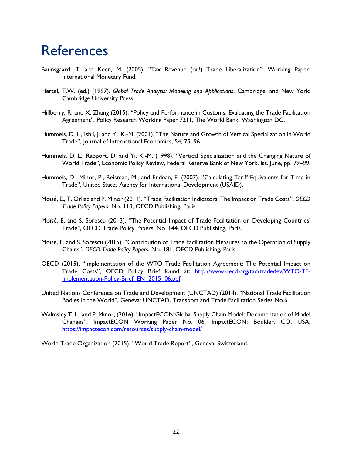## <span id="page-29-0"></span>**References**

- Baunsgaard, T. and Keen, M. (2005). "Tax Revenue (or?) Trade Liberalization", Working Paper, International Monetary Fund.
- Hertel, T.W. (ed.) (1997). *Global Trade Analysis: Modeling and Applications*, Cambridge, and New York: Cambridge University Press.
- Hillberry, R. and X. Zhang (2015). "Policy and Performance in Customs: Evaluating the Trade Facilitation Agreement", Policy Research Working Paper 7211, The World Bank, Washington DC.
- Hummels, D. L., Ishii, J. and Yi, K.-M. (2001). "The Nature and Growth of Vertical Specialization in World Trade", Journal of International Economics, 54, 75–96
- Hummels, D. L., Rapport, D. and Yi, K.-M. (1998). "Vertical Specialization and the Changing Nature of World Trade", Economic Policy Review, Federal Reserve Bank of New York, Iss. June, pp. 79–99.
- Hummels, D., Minor, P., Reisman, M., and Endean, E. (2007). "Calculating Tariff Equivalents for Time in Trade", United States Agency for International Development (USAID).
- Moïsé, E., T. Orliac and P. Minor (2011). "Trade Facilitation Indicators: The Impact on Trade Costs", *OECD Trade Policy Papers*, No. 118, OECD Publishing, Paris.
- Moïsé, E. and S. Sorescu (2013). "The Potential Impact of Trade Facilitation on Developing Countries' Trade", OECD Trade Policy Papers, No. 144, OECD Publishing, Paris.
- Moïsé, E. and S. Sorescu (2015). "Contribution of Trade Facilitation Measures to the Operation of Supply Chains", *OECD Trade Policy Papers*, No. 181, OECD Publishing, Paris.
- OECD (2015). "Implementation of the WTO Trade Facilitation Agreement: The Potential Impact on Trade Costs", OECD Policy Brief found at: [http://www.oecd.org/tad/tradedev/WTO-TF-](http://www.oecd.org/tad/tradedev/WTO-TF-Implementation-Policy-Brief_EN_2015_06.pdf)Implementation-Policy-Brief\_EN\_2015\_06.pdf.
- United Nations Conference on Trade and Development (UNCTAD) (2014). "National Trade Facilitation Bodies in the World", Geneva: UNCTAD, Transport and Trade Facilitation Series No.6.
- Walmsley T. L., and P. Minor, (2016). "ImpactECON Global Supply Chain Model: Documentation of Model Changes", ImpactECON Working Paper No. 06, ImpactECON: Boulder, CO, USA. <https://impactecon.com/resources/supply-chain-model/>

World Trade Organization (2015). "World Trade Report", Geneva, Switzerland.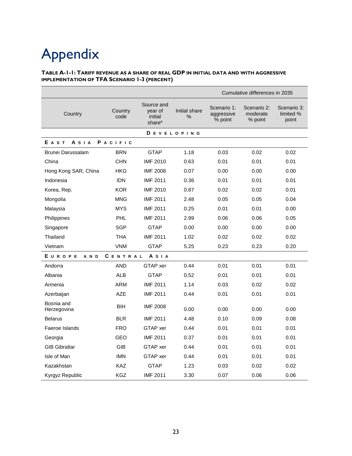# <span id="page-30-0"></span>Appendix

#### **TABLE A-1-1: TARIFF REVENUE AS A SHARE OF REAL GDP IN INITIAL DATA AND WITH AGGRESSIVE IMPLEMENTATION OF TFA SCENARIO 1-3 (PERCENT)**

|                                     |                 |                                                        |                    |                                      | Cumulative differences in 2035     |                                   |  |
|-------------------------------------|-----------------|--------------------------------------------------------|--------------------|--------------------------------------|------------------------------------|-----------------------------------|--|
| Country                             | Country<br>code | Source and<br>year of<br>initial<br>share <sup>a</sup> | Initial share<br>% | Scenario 1:<br>aggressive<br>% point | Scenario 2:<br>moderate<br>% point | Scenario 3:<br>limited %<br>point |  |
|                                     |                 |                                                        | <b>DEVELOPING</b>  |                                      |                                    |                                   |  |
| $A$ S I A<br>PACIFIC<br><b>EAST</b> |                 |                                                        |                    |                                      |                                    |                                   |  |
| Brunei Darussalam                   | <b>BRN</b>      | <b>GTAP</b>                                            | 1.18               | 0.03                                 | 0.02                               | 0.02                              |  |
| China                               | <b>CHN</b>      | <b>IMF 2010</b>                                        | 0.63               | 0.01                                 | 0.01                               | 0.01                              |  |
| Hong Kong SAR, China                | HKG             | <b>IMF 2008</b>                                        | 0.07               | 0.00                                 | 0.00                               | 0.00                              |  |
| Indonesia                           | <b>IDN</b>      | <b>IMF 2011</b>                                        | 0.36               | 0.01                                 | 0.01                               | 0.01                              |  |
| Korea, Rep.                         | <b>KOR</b>      | <b>IMF 2010</b>                                        | 0.87               | 0.02                                 | 0.02                               | 0.01                              |  |
| Mongolia                            | <b>MNG</b>      | <b>IMF 2011</b>                                        | 2.48               | 0.05                                 | 0.05                               | 0.04                              |  |
| Malaysia                            | <b>MYS</b>      | <b>IMF 2011</b>                                        | 0.25               | 0.01                                 | 0.01                               | 0.00                              |  |
| Philippines                         | <b>PHL</b>      | <b>IMF 2011</b>                                        | 2.99               | 0.06                                 | 0.06                               | 0.05                              |  |
| Singapore                           | <b>SGP</b>      | <b>GTAP</b>                                            | 0.00               | 0.00                                 | 0.00                               | 0.00                              |  |
| Thailand                            | <b>THA</b>      | <b>IMF 2011</b>                                        | 1.02               | 0.02                                 | 0.02                               | 0.02                              |  |
| Vietnam                             | <b>VNM</b>      | <b>GTAP</b>                                            | 5.25               | 0.23                                 | 0.23                               | 0.20                              |  |
| EUROPE<br>A N D                     | CENTRAL         | <b>A</b> S I A                                         |                    |                                      |                                    |                                   |  |
| Andorra                             | <b>AND</b>      | GTAP xer                                               | 0.44               | 0.01                                 | 0.01                               | 0.01                              |  |
| Albania                             | <b>ALB</b>      | <b>GTAP</b>                                            | 0.52               | 0.01                                 | 0.01                               | 0.01                              |  |
| Armenia                             | <b>ARM</b>      | <b>IMF 2011</b>                                        | 1.14               | 0.03                                 | 0.02                               | 0.02                              |  |
| Azerbaijan                          | <b>AZE</b>      | <b>IMF 2011</b>                                        | 0.44               | 0.01                                 | 0.01                               | 0.01                              |  |
| Bosnia and<br>Herzegovina           | <b>BIH</b>      | <b>IMF 2008</b>                                        | 0.00               | 0.00                                 | 0.00                               | 0.00                              |  |
| <b>Belarus</b>                      | <b>BLR</b>      | <b>IMF 2011</b>                                        | 4.48               | 0.10                                 | 0.09                               | 0.08                              |  |
| Faeroe Islands                      | <b>FRO</b>      | GTAP xer                                               | 0.44               | 0.01                                 | 0.01                               | 0.01                              |  |
| Georgia                             | <b>GEO</b>      | <b>IMF 2011</b>                                        | 0.37               | 0.01                                 | 0.01                               | 0.01                              |  |
| <b>GIB Gibraltar</b>                | <b>GIB</b>      | GTAP xer                                               | 0.44               | 0.01                                 | 0.01                               | 0.01                              |  |
| Isle of Man                         | <b>IMN</b>      | GTAP xer                                               | 0.44               | 0.01                                 | 0.01                               | 0.01                              |  |
| Kazakhstan                          | <b>KAZ</b>      | <b>GTAP</b>                                            | 1.23               | 0.03                                 | 0.02                               | 0.02                              |  |
| Kyrgyz Republic                     | <b>KGZ</b>      | <b>IMF 2011</b>                                        | 3.30               | 0.07                                 | 0.06                               | 0.06                              |  |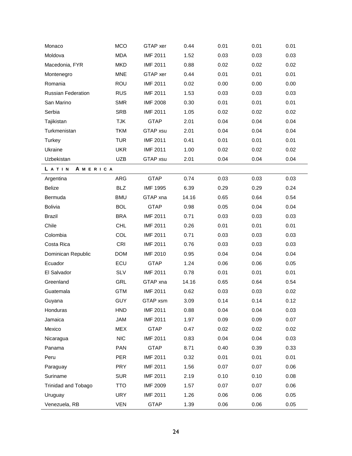| Monaco                    | <b>MCO</b> | GTAP xer        | 0.44  | 0.01 | 0.01 | 0.01 |
|---------------------------|------------|-----------------|-------|------|------|------|
| Moldova                   | <b>MDA</b> | <b>IMF 2011</b> | 1.52  | 0.03 | 0.03 | 0.03 |
| Macedonia, FYR            | <b>MKD</b> | <b>IMF 2011</b> | 0.88  | 0.02 | 0.02 | 0.02 |
| Montenegro                | <b>MNE</b> | GTAP xer        | 0.44  | 0.01 | 0.01 | 0.01 |
| Romania                   | ROU        | <b>IMF 2011</b> | 0.02  | 0.00 | 0.00 | 0.00 |
| <b>Russian Federation</b> | <b>RUS</b> | <b>IMF 2011</b> | 1.53  | 0.03 | 0.03 | 0.03 |
| San Marino                | <b>SMR</b> | <b>IMF 2008</b> | 0.30  | 0.01 | 0.01 | 0.01 |
| Serbia                    | <b>SRB</b> | <b>IMF 2011</b> | 1.05  | 0.02 | 0.02 | 0.02 |
| Tajikistan                | <b>TJK</b> | <b>GTAP</b>     | 2.01  | 0.04 | 0.04 | 0.04 |
| Turkmenistan              | <b>TKM</b> | GTAP xsu        | 2.01  | 0.04 | 0.04 | 0.04 |
| Turkey                    | <b>TUR</b> | <b>IMF 2011</b> | 0.41  | 0.01 | 0.01 | 0.01 |
| Ukraine                   | <b>UKR</b> | <b>IMF 2011</b> | 1.00  | 0.02 | 0.02 | 0.02 |
| Uzbekistan                | <b>UZB</b> | GTAP xsu        | 2.01  | 0.04 | 0.04 | 0.04 |
| LATIN<br>AMERICA          |            |                 |       |      |      |      |
| Argentina                 | ARG        | <b>GTAP</b>     | 0.74  | 0.03 | 0.03 | 0.03 |
| Belize                    | <b>BLZ</b> | <b>IMF 1995</b> | 6.39  | 0.29 | 0.29 | 0.24 |
| Bermuda                   | <b>BMU</b> | GTAP xna        | 14.16 | 0.65 | 0.64 | 0.54 |
| <b>Bolivia</b>            | <b>BOL</b> | <b>GTAP</b>     | 0.98  | 0.05 | 0.04 | 0.04 |
| <b>Brazil</b>             | <b>BRA</b> | <b>IMF 2011</b> | 0.71  | 0.03 | 0.03 | 0.03 |
| Chile                     | CHL        | <b>IMF 2011</b> | 0.26  | 0.01 | 0.01 | 0.01 |
| Colombia                  | COL        | <b>IMF 2011</b> | 0.71  | 0.03 | 0.03 | 0.03 |
| Costa Rica                | <b>CRI</b> | <b>IMF 2011</b> | 0.76  | 0.03 | 0.03 | 0.03 |
| Dominican Republic        | <b>DOM</b> | <b>IMF 2010</b> | 0.95  | 0.04 | 0.04 | 0.04 |
| Ecuador                   | ECU        | <b>GTAP</b>     | 1.24  | 0.06 | 0.06 | 0.05 |
| El Salvador               | <b>SLV</b> | <b>IMF 2011</b> | 0.78  | 0.01 | 0.01 | 0.01 |
| Greenland                 | GRL        | GTAP xna        | 14.16 | 0.65 | 0.64 | 0.54 |
| Guatemala                 | <b>GTM</b> | <b>IMF 2011</b> | 0.62  | 0.03 | 0.03 | 0.02 |
| Guyana                    | <b>GUY</b> | GTAP xsm        | 3.09  | 0.14 | 0.14 | 0.12 |
| Honduras                  | <b>HND</b> | <b>IMF 2011</b> | 0.88  | 0.04 | 0.04 | 0.03 |
| Jamaica                   | <b>JAM</b> | <b>IMF 2011</b> | 1.97  | 0.09 | 0.09 | 0.07 |
| Mexico                    | <b>MEX</b> | <b>GTAP</b>     | 0.47  | 0.02 | 0.02 | 0.02 |
| Nicaragua                 | <b>NIC</b> | <b>IMF 2011</b> | 0.83  | 0.04 | 0.04 | 0.03 |
| Panama                    | <b>PAN</b> | <b>GTAP</b>     | 8.71  | 0.40 | 0.39 | 0.33 |
| Peru                      | <b>PER</b> | <b>IMF 2011</b> | 0.32  | 0.01 | 0.01 | 0.01 |
| Paraguay                  | <b>PRY</b> | <b>IMF 2011</b> | 1.56  | 0.07 | 0.07 | 0.06 |
| Suriname                  | <b>SUR</b> | <b>IMF 2011</b> | 2.19  | 0.10 | 0.10 | 0.08 |
| Trinidad and Tobago       | <b>TTO</b> | <b>IMF 2009</b> | 1.57  | 0.07 | 0.07 | 0.06 |
| Uruguay                   | <b>URY</b> | <b>IMF 2011</b> | 1.26  | 0.06 | 0.06 | 0.05 |
| Venezuela, RB             | <b>VEN</b> | <b>GTAP</b>     | 1.39  | 0.06 | 0.06 | 0.05 |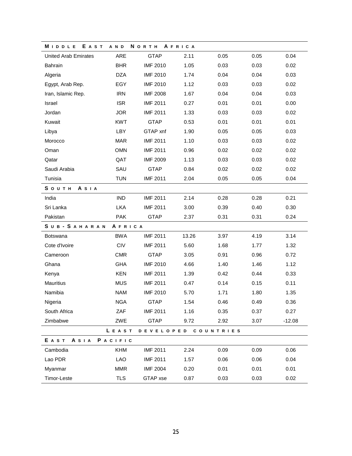| MIDDLE<br><b>EAST</b>       | A N D      | <b>N</b> O R T H | AFRICA |           |      |          |  |
|-----------------------------|------------|------------------|--------|-----------|------|----------|--|
| <b>United Arab Emirates</b> | ARE        | <b>GTAP</b>      | 2.11   | 0.05      | 0.05 | 0.04     |  |
| Bahrain                     | <b>BHR</b> | <b>IMF 2010</b>  | 1.05   | 0.03      | 0.03 | 0.02     |  |
| Algeria                     | <b>DZA</b> | <b>IMF 2010</b>  | 1.74   | 0.04      | 0.04 | 0.03     |  |
| Egypt, Arab Rep.            | EGY        | <b>IMF 2010</b>  | 1.12   | 0.03      | 0.03 | 0.02     |  |
| Iran, Islamic Rep.          | <b>IRN</b> | <b>IMF 2008</b>  | 1.67   | 0.04      | 0.04 | 0.03     |  |
| Israel                      | <b>ISR</b> | <b>IMF 2011</b>  | 0.27   | 0.01      | 0.01 | 0.00     |  |
| Jordan                      | <b>JOR</b> | <b>IMF 2011</b>  | 1.33   | 0.03      | 0.03 | 0.02     |  |
| Kuwait                      | <b>KWT</b> | <b>GTAP</b>      | 0.53   | 0.01      | 0.01 | 0.01     |  |
| Libya                       | LBY        | GTAP xnf         | 1.90   | 0.05      | 0.05 | 0.03     |  |
| Morocco                     | <b>MAR</b> | <b>IMF 2011</b>  | 1.10   | 0.03      | 0.03 | 0.02     |  |
| Oman                        | <b>OMN</b> | <b>IMF 2011</b>  | 0.96   | 0.02      | 0.02 | 0.02     |  |
| Qatar                       | QAT        | <b>IMF 2009</b>  | 1.13   | 0.03      | 0.03 | 0.02     |  |
| Saudi Arabia                | SAU        | <b>GTAP</b>      | 0.84   | 0.02      | 0.02 | 0.02     |  |
| Tunisia                     | <b>TUN</b> | <b>IMF 2011</b>  | 2.04   | 0.05      | 0.05 | 0.04     |  |
| South<br><b>A</b> S I A     |            |                  |        |           |      |          |  |
| India                       | <b>IND</b> | <b>IMF 2011</b>  | 2.14   | 0.28      | 0.28 | 0.21     |  |
| Sri Lanka                   | <b>LKA</b> | <b>IMF 2011</b>  | 3.00   | 0.39      | 0.40 | 0.30     |  |
| Pakistan                    | <b>PAK</b> | <b>GTAP</b>      | 2.37   | 0.31      | 0.31 | 0.24     |  |
| SUB-SAHARAN<br>AFRICA       |            |                  |        |           |      |          |  |
| <b>Botswana</b>             | <b>BWA</b> | <b>IMF 2011</b>  | 13.26  | 3.97      | 4.19 | 3.14     |  |
| Cote d'Ivoire               | CIV        | <b>IMF 2011</b>  | 5.60   | 1.68      | 1.77 | 1.32     |  |
| Cameroon                    | <b>CMR</b> | <b>GTAP</b>      | 3.05   | 0.91      | 0.96 | 0.72     |  |
| Ghana                       | <b>GHA</b> | <b>IMF 2010</b>  | 4.66   | 1.40      | 1.46 | 1.12     |  |
| Kenya                       | <b>KEN</b> | <b>IMF 2011</b>  | 1.39   | 0.42      | 0.44 | 0.33     |  |
| Mauritius                   | <b>MUS</b> | <b>IMF 2011</b>  | 0.47   | 0.14      | 0.15 | 0.11     |  |
| Namibia                     | <b>NAM</b> | <b>IMF 2010</b>  | 5.70   | 1.71      | 1.80 | 1.35     |  |
| Nigeria                     | <b>NGA</b> | GTAP             | 1.54   | 0.46      | 0.49 | 0.36     |  |
| South Africa                | ZAF        | <b>IMF 2011</b>  | 1.16   | 0.35      | 0.37 | 0.27     |  |
| Zimbabwe                    | ZWE        | <b>GTAP</b>      | 9.72   | 2.92      | 3.07 | $-12.08$ |  |
|                             | LEAST      | DEVELOPED        |        | COUNTRIES |      |          |  |
| E A S T<br>ASIA             | PACIFIC    |                  |        |           |      |          |  |
| Cambodia                    | <b>KHM</b> | <b>IMF 2011</b>  | 2.24   | 0.09      | 0.09 | 0.06     |  |
| Lao PDR                     | <b>LAO</b> | <b>IMF 2011</b>  | 1.57   | 0.06      | 0.06 | 0.04     |  |
| Myanmar                     | <b>MMR</b> | <b>IMF 2004</b>  | 0.20   | 0.01      | 0.01 | 0.01     |  |
| Timor-Leste                 | <b>TLS</b> | GTAP xse         | 0.87   | 0.03      | 0.03 | 0.02     |  |